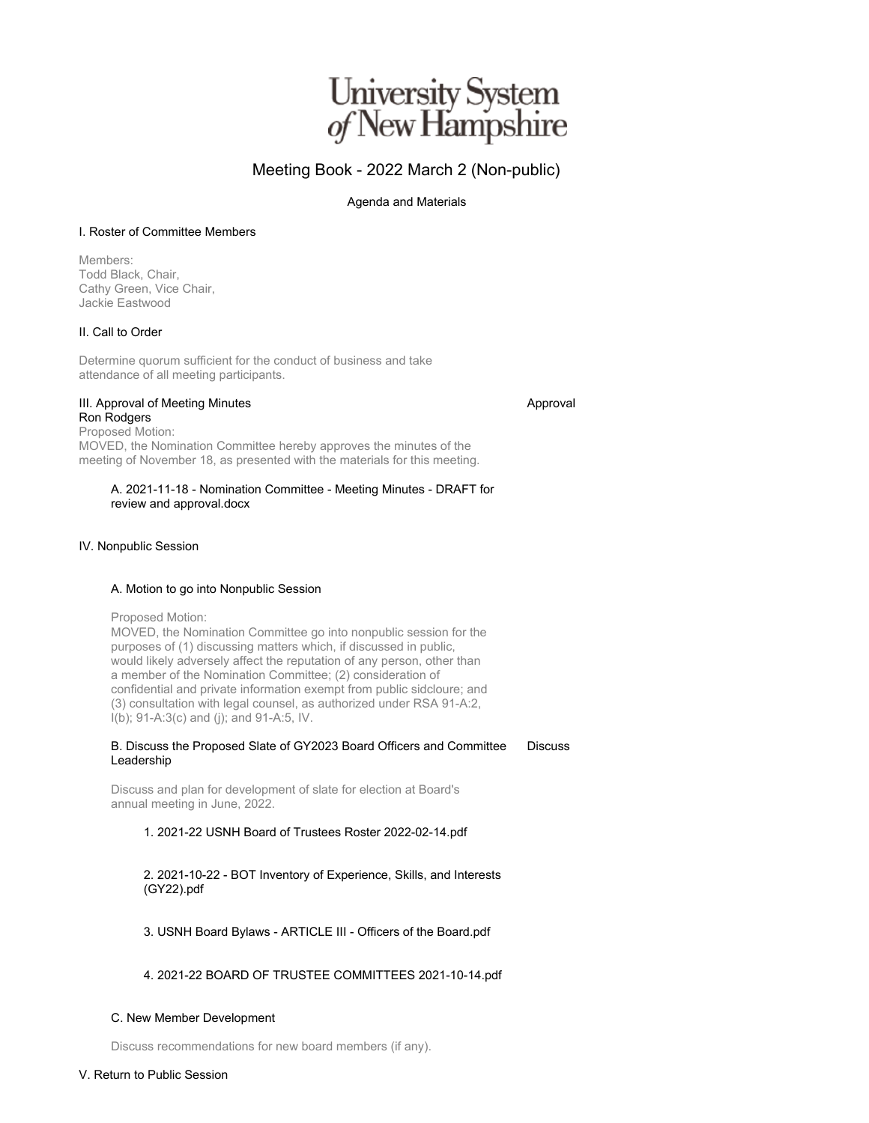# University System<br>of New Hampshire

## Meeting Book - 2022 March 2 (Non-public)

Agenda and Materials

#### I. Roster of Committee Members

Members: Todd Black, Chair, Cathy Green, Vice Chair, Jackie Eastwood

#### II. Call to Order

Determine quorum sufficient for the conduct of business and take attendance of all meeting participants.

## III. Approval of Meeting Minutes

Approval

Ron Rodgers Proposed Motion: MOVED, the Nomination Committee hereby approves the minutes of the meeting of November 18, as presented with the materials for this meeting.

#### A. 2021-11-18 - Nomination Committee - Meeting Minutes - DRAFT for review and approval.docx

#### IV. Nonpublic Session

#### A. Motion to go into Nonpublic Session

Proposed Motion:

MOVED, the Nomination Committee go into nonpublic session for the purposes of (1) discussing matters which, if discussed in public, would likely adversely affect the reputation of any person, other than a member of the Nomination Committee; (2) consideration of confidential and private information exempt from public sidcloure; and (3) consultation with legal counsel, as authorized under RSA 91-A:2, I(b); 91-A:3(c) and (j); and 91-A:5, IV.

#### B. Discuss the Proposed Slate of GY2023 Board Officers and Committee Leadership Discuss

Discuss and plan for development of slate for election at Board's annual meeting in June, 2022.

#### 1. 2021-22 USNH Board of Trustees Roster 2022-02-14.pdf

#### 2. 2021-10-22 - BOT Inventory of Experience, Skills, and Interests (GY22).pdf

3. USNH Board Bylaws - ARTICLE III - Officers of the Board.pdf

#### 4. 2021-22 BOARD OF TRUSTEE COMMITTEES 2021-10-14.pdf

#### C. New Member Development

Discuss recommendations for new board members (if any).